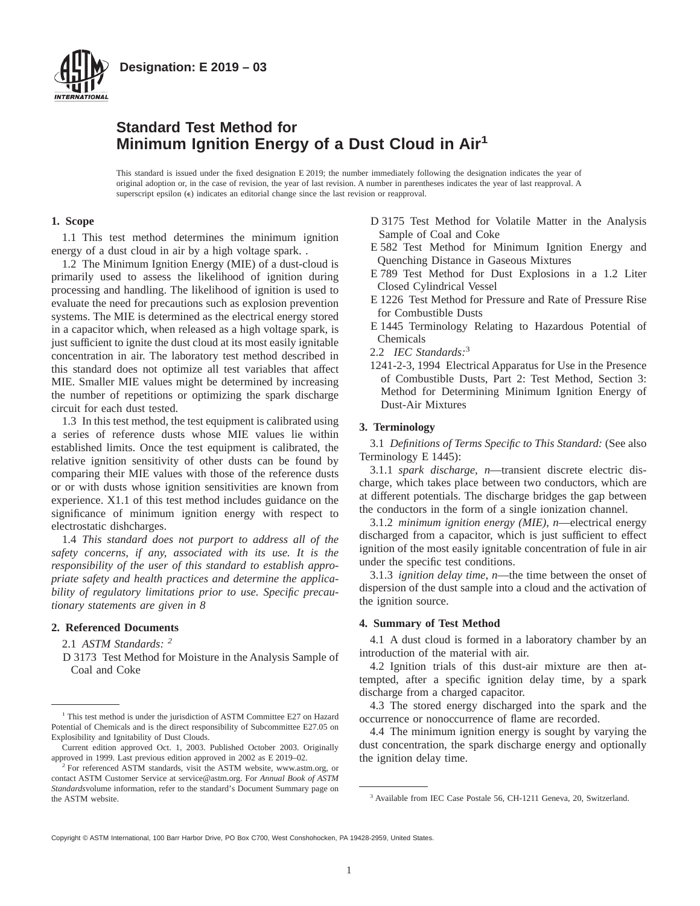

# **Standard Test Method for Minimum Ignition Energy of a Dust Cloud in Air<sup>1</sup>**

This standard is issued under the fixed designation E 2019; the number immediately following the designation indicates the year of original adoption or, in the case of revision, the year of last revision. A number in parentheses indicates the year of last reapproval. A superscript epsilon  $(\epsilon)$  indicates an editorial change since the last revision or reapproval.

## **1. Scope**

1.1 This test method determines the minimum ignition energy of a dust cloud in air by a high voltage spark. .

1.2 The Minimum Ignition Energy (MIE) of a dust-cloud is primarily used to assess the likelihood of ignition during processing and handling. The likelihood of ignition is used to evaluate the need for precautions such as explosion prevention systems. The MIE is determined as the electrical energy stored in a capacitor which, when released as a high voltage spark, is just sufficient to ignite the dust cloud at its most easily ignitable concentration in air. The laboratory test method described in this standard does not optimize all test variables that affect MIE. Smaller MIE values might be determined by increasing the number of repetitions or optimizing the spark discharge circuit for each dust tested.

1.3 In this test method, the test equipment is calibrated using a series of reference dusts whose MIE values lie within established limits. Once the test equipment is calibrated, the relative ignition sensitivity of other dusts can be found by comparing their MIE values with those of the reference dusts or or with dusts whose ignition sensitivities are known from experience. X1.1 of this test method includes guidance on the significance of minimum ignition energy with respect to electrostatic dishcharges.

1.4 *This standard does not purport to address all of the safety concerns, if any, associated with its use. It is the responsibility of the user of this standard to establish appropriate safety and health practices and determine the applicability of regulatory limitations prior to use. Specific precautionary statements are given in 8*

## **2. Referenced Documents**

2.1 *ASTM Standards: <sup>2</sup>*

D 3173 Test Method for Moisture in the Analysis Sample of Coal and Coke

- D 3175 Test Method for Volatile Matter in the Analysis Sample of Coal and Coke
- E 582 Test Method for Minimum Ignition Energy and Quenching Distance in Gaseous Mixtures
- E 789 Test Method for Dust Explosions in a 1.2 Liter Closed Cylindrical Vessel
- E 1226 Test Method for Pressure and Rate of Pressure Rise for Combustible Dusts
- E 1445 Terminology Relating to Hazardous Potential of Chemicals
- 2.2 *IEC Standards:*<sup>3</sup>
- 1241-2-3, 1994 Electrical Apparatus for Use in the Presence of Combustible Dusts, Part 2: Test Method, Section 3: Method for Determining Minimum Ignition Energy of Dust-Air Mixtures

## **3. Terminology**

3.1 *Definitions of Terms Specific to This Standard:* (See also Terminology E 1445):

3.1.1 *spark discharge*, *n*—transient discrete electric discharge, which takes place between two conductors, which are at different potentials. The discharge bridges the gap between the conductors in the form of a single ionization channel.

3.1.2 *minimum ignition energy (MIE)*, *n*—electrical energy discharged from a capacitor, which is just sufficient to effect ignition of the most easily ignitable concentration of fule in air under the specific test conditions.

3.1.3 *ignition delay time*, *n*—the time between the onset of dispersion of the dust sample into a cloud and the activation of the ignition source.

## **4. Summary of Test Method**

4.1 A dust cloud is formed in a laboratory chamber by an introduction of the material with air.

4.2 Ignition trials of this dust-air mixture are then attempted, after a specific ignition delay time, by a spark discharge from a charged capacitor.

4.3 The stored energy discharged into the spark and the occurrence or nonoccurrence of flame are recorded.

4.4 The minimum ignition energy is sought by varying the dust concentration, the spark discharge energy and optionally the ignition delay time.

Copyright © ASTM International, 100 Barr Harbor Drive, PO Box C700, West Conshohocken, PA 19428-2959, United States.

<sup>&</sup>lt;sup>1</sup> This test method is under the jurisdiction of ASTM Committee E27 on Hazard Potential of Chemicals and is the direct responsibility of Subcommittee E27.05 on Explosibility and Ignitability of Dust Clouds.

Current edition approved Oct. 1, 2003. Published October 2003. Originally approved in 1999. Last previous edition approved in 2002 as E 2019–02.

<sup>&</sup>lt;sup>2</sup> For referenced ASTM standards, visit the ASTM website, www.astm.org, or contact ASTM Customer Service at service@astm.org. For *Annual Book of ASTM Standards*volume information, refer to the standard's Document Summary page on the ASTM website.  $\frac{3}{2}$  Available from IEC Case Postale 56, CH-1211 Geneva, 20, Switzerland.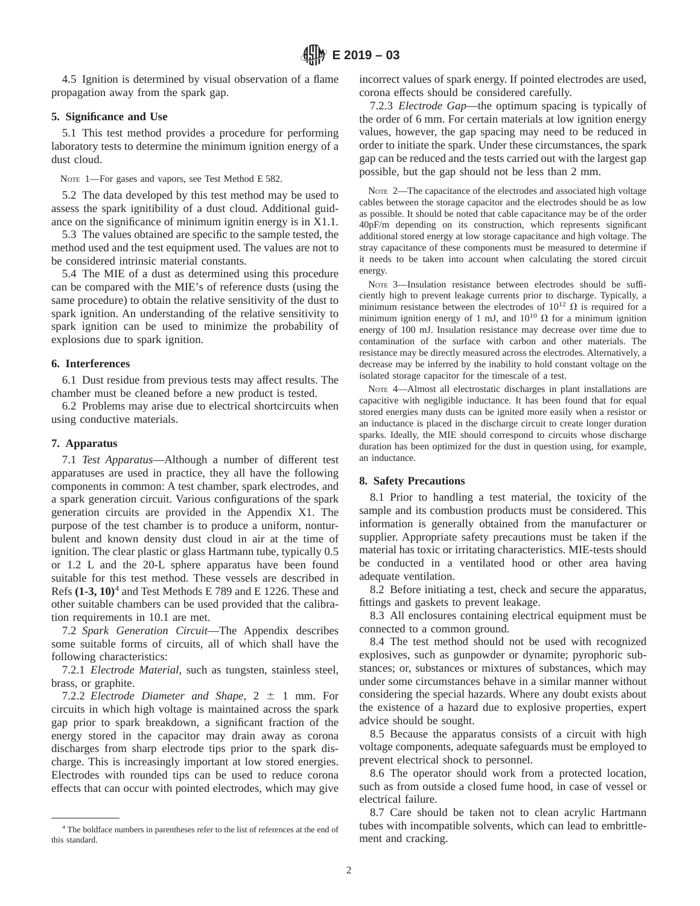4.5 Ignition is determined by visual observation of a flame propagation away from the spark gap.

## **5. Significance and Use**

5.1 This test method provides a procedure for performing laboratory tests to determine the minimum ignition energy of a dust cloud.

NOTE 1—For gases and vapors, see Test Method E 582.

5.2 The data developed by this test method may be used to assess the spark ignitibility of a dust cloud. Additional guidance on the significance of minimum ignitin energy is in X1.1.

5.3 The values obtained are specific to the sample tested, the method used and the test equipment used. The values are not to be considered intrinsic material constants.

5.4 The MIE of a dust as determined using this procedure can be compared with the MIE's of reference dusts (using the same procedure) to obtain the relative sensitivity of the dust to spark ignition. An understanding of the relative sensitivity to spark ignition can be used to minimize the probability of explosions due to spark ignition.

## **6. Interferences**

6.1 Dust residue from previous tests may affect results. The chamber must be cleaned before a new product is tested.

6.2 Problems may arise due to electrical shortcircuits when using conductive materials.

#### **7. Apparatus**

7.1 *Test Apparatus*—Although a number of different test apparatuses are used in practice, they all have the following components in common: A test chamber, spark electrodes, and a spark generation circuit. Various configurations of the spark generation circuits are provided in the Appendix X1. The purpose of the test chamber is to produce a uniform, nonturbulent and known density dust cloud in air at the time of ignition. The clear plastic or glass Hartmann tube, typically 0.5 or 1.2 L and the 20-L sphere apparatus have been found suitable for this test method. These vessels are described in Refs **(1-3, 10)**<sup>4</sup> and Test Methods E 789 and E 1226. These and other suitable chambers can be used provided that the calibration requirements in 10.1 are met.

7.2 *Spark Generation Circuit*—The Appendix describes some suitable forms of circuits, all of which shall have the following characteristics:

7.2.1 *Electrode Material*, such as tungsten, stainless steel, brass, or graphite.

7.2.2 *Electrode Diameter and Shape*,  $2 \pm 1$  mm. For circuits in which high voltage is maintained across the spark gap prior to spark breakdown, a significant fraction of the energy stored in the capacitor may drain away as corona discharges from sharp electrode tips prior to the spark discharge. This is increasingly important at low stored energies. Electrodes with rounded tips can be used to reduce corona effects that can occur with pointed electrodes, which may give incorrect values of spark energy. If pointed electrodes are used, corona effects should be considered carefully.

7.2.3 *Electrode Gap*—the optimum spacing is typically of the order of 6 mm. For certain materials at low ignition energy values, however, the gap spacing may need to be reduced in order to initiate the spark. Under these circumstances, the spark gap can be reduced and the tests carried out with the largest gap possible, but the gap should not be less than 2 mm.

NOTE 2—The capacitance of the electrodes and associated high voltage cables between the storage capacitor and the electrodes should be as low as possible. It should be noted that cable capacitance may be of the order 40pF/m depending on its construction, which represents significant additional stored energy at low storage capacitance and high voltage. The stray capacitance of these components must be measured to determine if it needs to be taken into account when calculating the stored circuit energy.

NOTE 3—Insulation resistance between electrodes should be sufficiently high to prevent leakage currents prior to discharge. Typically, a minimum resistance between the electrodes of  $10^{12}$   $\Omega$  is required for a minimum ignition energy of 1 mJ, and  $10^{10}$   $\Omega$  for a minimum ignition energy of 100 mJ. Insulation resistance may decrease over time due to contamination of the surface with carbon and other materials. The resistance may be directly measured across the electrodes. Alternatively, a decrease may be inferred by the inability to hold constant voltage on the isolated storage capacitor for the timescale of a test.

NOTE 4—Almost all electrostatic discharges in plant installations are capacitive with negligible inductance. It has been found that for equal stored energies many dusts can be ignited more easily when a resistor or an inductance is placed in the discharge circuit to create longer duration sparks. Ideally, the MIE should correspond to circuits whose discharge duration has been optimized for the dust in question using, for example, an inductance.

#### **8. Safety Precautions**

8.1 Prior to handling a test material, the toxicity of the sample and its combustion products must be considered. This information is generally obtained from the manufacturer or supplier. Appropriate safety precautions must be taken if the material has toxic or irritating characteristics. MIE-tests should be conducted in a ventilated hood or other area having adequate ventilation.

8.2 Before initiating a test, check and secure the apparatus, fittings and gaskets to prevent leakage.

8.3 All enclosures containing electrical equipment must be connected to a common ground.

8.4 The test method should not be used with recognized explosives, such as gunpowder or dynamite; pyrophoric substances; or, substances or mixtures of substances, which may under some circumstances behave in a similar manner without considering the special hazards. Where any doubt exists about the existence of a hazard due to explosive properties, expert advice should be sought.

8.5 Because the apparatus consists of a circuit with high voltage components, adequate safeguards must be employed to prevent electrical shock to personnel.

8.6 The operator should work from a protected location, such as from outside a closed fume hood, in case of vessel or electrical failure.

8.7 Care should be taken not to clean acrylic Hartmann tubes with incompatible solvents, which can lead to embrittlement and cracking.

<sup>4</sup> The boldface numbers in parentheses refer to the list of references at the end of this standard.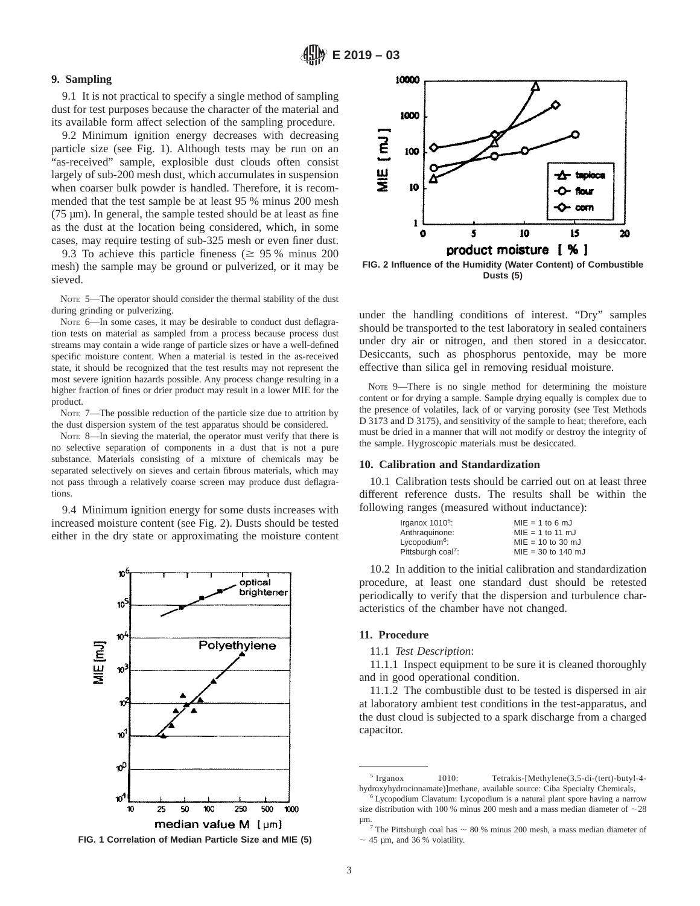## **9. Sampling**

9.1 It is not practical to specify a single method of sampling dust for test purposes because the character of the material and its available form affect selection of the sampling procedure.

9.2 Minimum ignition energy decreases with decreasing particle size (see Fig. 1). Although tests may be run on an "as-received" sample, explosible dust clouds often consist largely of sub-200 mesh dust, which accumulates in suspension when coarser bulk powder is handled. Therefore, it is recommended that the test sample be at least 95 % minus 200 mesh  $(75 \mu m)$ . In general, the sample tested should be at least as fine as the dust at the location being considered, which, in some cases, may require testing of sub-325 mesh or even finer dust.

9.3 To achieve this particle fineness ( $\geq$  95 % minus 200 mesh) the sample may be ground or pulverized, or it may be sieved.

NOTE 5—The operator should consider the thermal stability of the dust during grinding or pulverizing.

NOTE 6-In some cases, it may be desirable to conduct dust deflagration tests on material as sampled from a process because process dust streams may contain a wide range of particle sizes or have a well-defined specific moisture content. When a material is tested in the as-received state, it should be recognized that the test results may not represent the most severe ignition hazards possible. Any process change resulting in a higher fraction of fines or drier product may result in a lower MIE for the product.

NOTE 7—The possible reduction of the particle size due to attrition by the dust dispersion system of the test apparatus should be considered.

NOTE 8—In sieving the material, the operator must verify that there is no selective separation of components in a dust that is not a pure substance. Materials consisting of a mixture of chemicals may be separated selectively on sieves and certain fibrous materials, which may not pass through a relatively coarse screen may produce dust deflagrations.

9.4 Minimum ignition energy for some dusts increases with increased moisture content (see Fig. 2). Dusts should be tested either in the dry state or approximating the moisture content







**FIG. 2 Influence of the Humidity (Water Content) of Combustible Dusts (5)**

under the handling conditions of interest. "Dry" samples should be transported to the test laboratory in sealed containers under dry air or nitrogen, and then stored in a desiccator. Desiccants, such as phosphorus pentoxide, may be more effective than silica gel in removing residual moisture.

NOTE 9—There is no single method for determining the moisture content or for drying a sample. Sample drying equally is complex due to the presence of volatiles, lack of or varying porosity (see Test Methods D 3173 and D 3175), and sensitivity of the sample to heat; therefore, each must be dried in a manner that will not modify or destroy the integrity of the sample. Hygroscopic materials must be desiccated.

#### **10. Calibration and Standardization**

10.1 Calibration tests should be carried out on at least three different reference dusts. The results shall be within the following ranges (measured without inductance):

| Irganox $10105$ :              | $MIE = 1$ to 6 mJ    |
|--------------------------------|----------------------|
| Anthraguinone:                 | $MIE = 1$ to 11 mJ   |
| Lycopodium <sup>6</sup> :      | $MIE = 10$ to 30 mJ  |
| Pittsburgh coal <sup>7</sup> : | $MIE = 30$ to 140 mJ |

10.2 In addition to the initial calibration and standardization procedure, at least one standard dust should be retested periodically to verify that the dispersion and turbulence characteristics of the chamber have not changed.

#### **11. Procedure**

11.1 *Test Description*:

11.1.1 Inspect equipment to be sure it is cleaned thoroughly and in good operational condition.

11.1.2 The combustible dust to be tested is dispersed in air at laboratory ambient test conditions in the test-apparatus, and the dust cloud is subjected to a spark discharge from a charged capacitor.

<sup>5</sup> Irganox 1010: Tetrakis-[Methylene(3,5-di-(tert)-butyl-4 hydroxyhydrocinnamate)]methane, available source: Ciba Specialty Chemicals,

<sup>&</sup>lt;sup>6</sup> Lycopodium Clavatum: Lycopodium is a natural plant spore having a narrow size distribution with 100 % minus 200 mesh and a mass median diameter of  $\sim$ 28

 $\mu$ m.<br><sup>7</sup> The Pittsburgh coal has  $\sim$  80 % minus 200 mesh, a mass median diameter of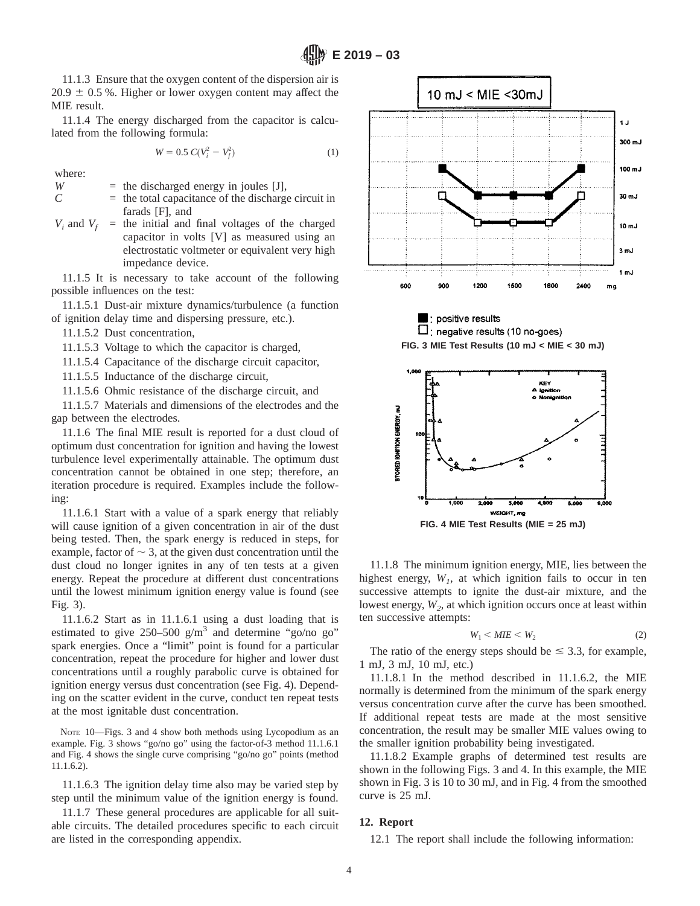11.1.3 Ensure that the oxygen content of the dispersion air is  $20.9 \pm 0.5$  %. Higher or lower oxygen content may affect the MIE result.

11.1.4 The energy discharged from the capacitor is calculated from the following formula:

$$
W = 0.5 \ C(V_i^2 - V_f^2) \tag{1}
$$

where:

 $W =$  the discharged energy in joules [J],

- $C =$  the total capacitance of the discharge circuit in farads [F], and
- $V_i$  and  $V_f$  = the initial and final voltages of the charged capacitor in volts [V] as measured using an electrostatic voltmeter or equivalent very high impedance device.

11.1.5 It is necessary to take account of the following possible influences on the test:

11.1.5.1 Dust-air mixture dynamics/turbulence (a function of ignition delay time and dispersing pressure, etc.).

11.1.5.2 Dust concentration,

11.1.5.3 Voltage to which the capacitor is charged,

11.1.5.4 Capacitance of the discharge circuit capacitor,

11.1.5.5 Inductance of the discharge circuit,

11.1.5.6 Ohmic resistance of the discharge circuit, and

11.1.5.7 Materials and dimensions of the electrodes and the gap between the electrodes.

11.1.6 The final MIE result is reported for a dust cloud of optimum dust concentration for ignition and having the lowest turbulence level experimentally attainable. The optimum dust concentration cannot be obtained in one step; therefore, an iteration procedure is required. Examples include the following:

11.1.6.1 Start with a value of a spark energy that reliably will cause ignition of a given concentration in air of the dust being tested. Then, the spark energy is reduced in steps, for example, factor of  $\sim$  3, at the given dust concentration until the dust cloud no longer ignites in any of ten tests at a given energy. Repeat the procedure at different dust concentrations until the lowest minimum ignition energy value is found (see Fig. 3).

11.1.6.2 Start as in 11.1.6.1 using a dust loading that is estimated to give  $250-500$  g/m<sup>3</sup> and determine "go/no go" spark energies. Once a "limit" point is found for a particular concentration, repeat the procedure for higher and lower dust concentrations until a roughly parabolic curve is obtained for ignition energy versus dust concentration (see Fig. 4). Depending on the scatter evident in the curve, conduct ten repeat tests at the most ignitable dust concentration.

NOTE  $10$ -Figs. 3 and 4 show both methods using Lycopodium as an example. Fig. 3 shows "go/no go" using the factor-of-3 method 11.1.6.1 and Fig. 4 shows the single curve comprising "go/no go" points (method 11.1.6.2).

11.1.6.3 The ignition delay time also may be varied step by step until the minimum value of the ignition energy is found.

11.1.7 These general procedures are applicable for all suitable circuits. The detailed procedures specific to each circuit are listed in the corresponding appendix.





**FIG. 3 MIE Test Results (10 mJ < MIE < 30 mJ)**



11.1.8 The minimum ignition energy, MIE, lies between the highest energy,  $W<sub>1</sub>$ , at which ignition fails to occur in ten successive attempts to ignite the dust-air mixture, and the lowest energy,  $W_2$ , at which ignition occurs once at least within ten successive attempts:

$$
W_1 \leq MIE \leq W_2 \tag{2}
$$

The ratio of the energy steps should be  $\leq 3.3$ , for example, 1 mJ, 3 mJ, 10 mJ, etc.)

11.1.8.1 In the method described in 11.1.6.2, the MIE normally is determined from the minimum of the spark energy versus concentration curve after the curve has been smoothed. If additional repeat tests are made at the most sensitive concentration, the result may be smaller MIE values owing to the smaller ignition probability being investigated.

11.1.8.2 Example graphs of determined test results are shown in the following Figs. 3 and 4. In this example, the MIE shown in Fig. 3 is 10 to 30 mJ, and in Fig. 4 from the smoothed curve is 25 mJ.

## **12. Report**

12.1 The report shall include the following information: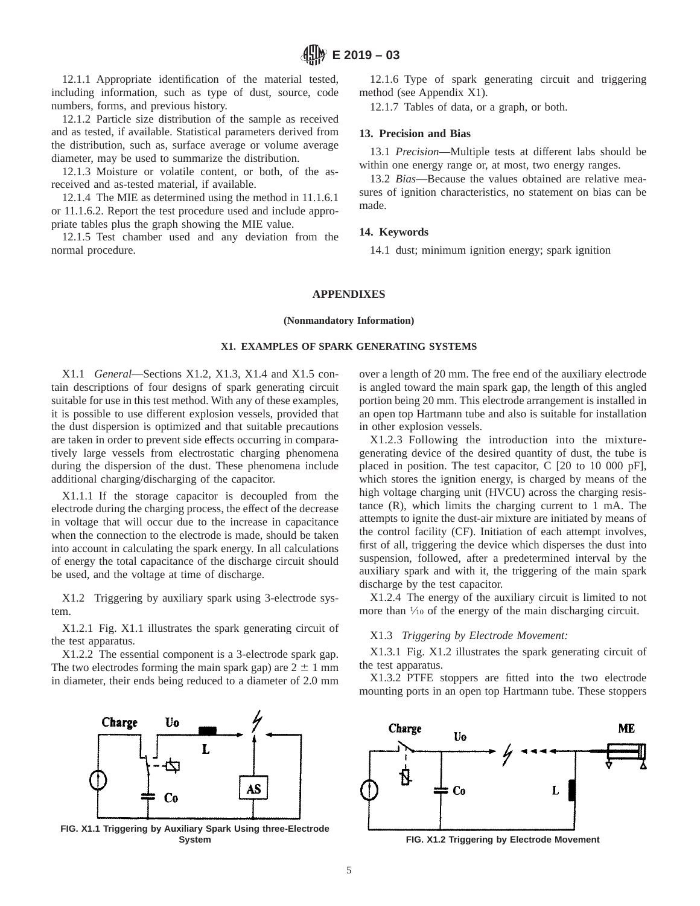12.1.1 Appropriate identification of the material tested, including information, such as type of dust, source, code numbers, forms, and previous history.

12.1.2 Particle size distribution of the sample as received and as tested, if available. Statistical parameters derived from the distribution, such as, surface average or volume average diameter, may be used to summarize the distribution.

12.1.3 Moisture or volatile content, or both, of the asreceived and as-tested material, if available.

12.1.4 The MIE as determined using the method in 11.1.6.1 or 11.1.6.2. Report the test procedure used and include appropriate tables plus the graph showing the MIE value.

12.1.5 Test chamber used and any deviation from the normal procedure.

12.1.6 Type of spark generating circuit and triggering method (see Appendix X1).

12.1.7 Tables of data, or a graph, or both.

## **13. Precision and Bias**

13.1 *Precision*—Multiple tests at different labs should be within one energy range or, at most, two energy ranges.

13.2 *Bias*—Because the values obtained are relative measures of ignition characteristics, no statement on bias can be made.

## **14. Keywords**

14.1 dust; minimum ignition energy; spark ignition

#### **APPENDIXES**

## **(Nonmandatory Information)**

## **X1. EXAMPLES OF SPARK GENERATING SYSTEMS**

X1.1 *General*—Sections X1.2, X1.3, X1.4 and X1.5 contain descriptions of four designs of spark generating circuit suitable for use in this test method. With any of these examples, it is possible to use different explosion vessels, provided that the dust dispersion is optimized and that suitable precautions are taken in order to prevent side effects occurring in comparatively large vessels from electrostatic charging phenomena during the dispersion of the dust. These phenomena include additional charging/discharging of the capacitor.

X1.1.1 If the storage capacitor is decoupled from the electrode during the charging process, the effect of the decrease in voltage that will occur due to the increase in capacitance when the connection to the electrode is made, should be taken into account in calculating the spark energy. In all calculations of energy the total capacitance of the discharge circuit should be used, and the voltage at time of discharge.

X1.2 Triggering by auxiliary spark using 3-electrode system.

X1.2.1 Fig. X1.1 illustrates the spark generating circuit of the test apparatus.

X1.2.2 The essential component is a 3-electrode spark gap. The two electrodes forming the main spark gap) are  $2 \pm 1$  mm in diameter, their ends being reduced to a diameter of 2.0 mm



**FIG. X1.1 Triggering by Auxiliary Spark Using three-Electrode**

over a length of 20 mm. The free end of the auxiliary electrode is angled toward the main spark gap, the length of this angled portion being 20 mm. This electrode arrangement is installed in an open top Hartmann tube and also is suitable for installation in other explosion vessels.

X1.2.3 Following the introduction into the mixturegenerating device of the desired quantity of dust, the tube is placed in position. The test capacitor, C [20 to 10 000 pF], which stores the ignition energy, is charged by means of the high voltage charging unit (HVCU) across the charging resistance (R), which limits the charging current to 1 mA. The attempts to ignite the dust-air mixture are initiated by means of the control facility (CF). Initiation of each attempt involves, first of all, triggering the device which disperses the dust into suspension, followed, after a predetermined interval by the auxiliary spark and with it, the triggering of the main spark discharge by the test capacitor.

X1.2.4 The energy of the auxiliary circuit is limited to not more than  $\frac{1}{10}$  of the energy of the main discharging circuit.

### X1.3 *Triggering by Electrode Movement:*

X1.3.1 Fig. X1.2 illustrates the spark generating circuit of the test apparatus.

X1.3.2 PTFE stoppers are fitted into the two electrode mounting ports in an open top Hartmann tube. These stoppers



**System FIG. X1.2 Triggering by Electrode Movement**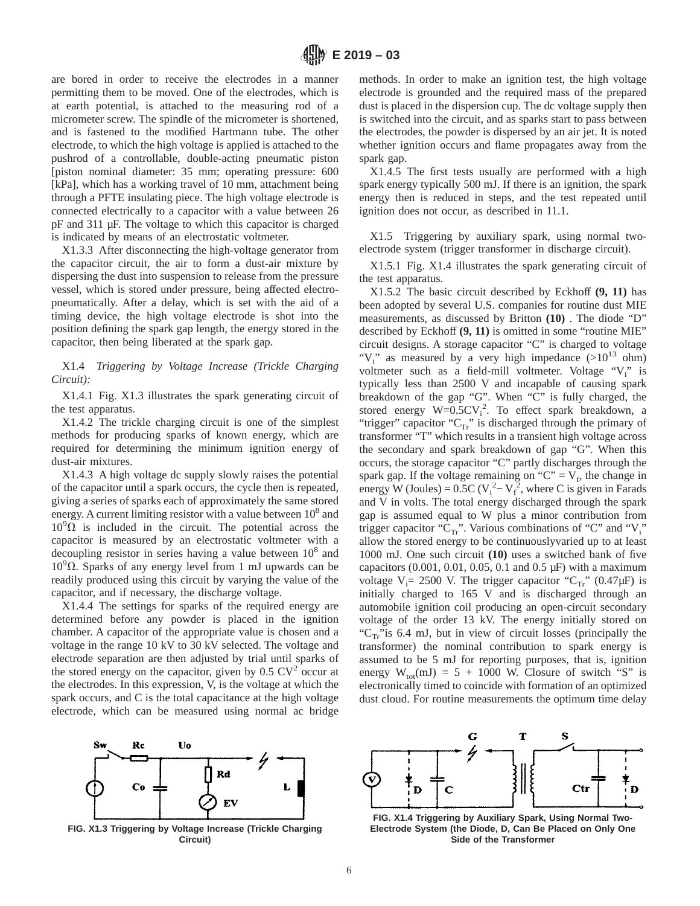are bored in order to receive the electrodes in a manner permitting them to be moved. One of the electrodes, which is at earth potential, is attached to the measuring rod of a micrometer screw. The spindle of the micrometer is shortened, and is fastened to the modified Hartmann tube. The other electrode, to which the high voltage is applied is attached to the pushrod of a controllable, double-acting pneumatic piston [piston nominal diameter: 35 mm; operating pressure: 600 [kPa], which has a working travel of 10 mm, attachment being through a PFTE insulating piece. The high voltage electrode is connected electrically to a capacitor with a value between 26 pF and 311 µF. The voltage to which this capacitor is charged is indicated by means of an electrostatic voltmeter.

X1.3.3 After disconnecting the high-voltage generator from the capacitor circuit, the air to form a dust-air mixture by dispersing the dust into suspension to release from the pressure vessel, which is stored under pressure, being affected electropneumatically. After a delay, which is set with the aid of a timing device, the high voltage electrode is shot into the position defining the spark gap length, the energy stored in the capacitor, then being liberated at the spark gap.

X1.4 *Triggering by Voltage Increase (Trickle Charging Circuit):*

X1.4.1 Fig. X1.3 illustrates the spark generating circuit of the test apparatus.

X1.4.2 The trickle charging circuit is one of the simplest methods for producing sparks of known energy, which are required for determining the minimum ignition energy of dust-air mixtures.

X1.4.3 A high voltage dc supply slowly raises the potential of the capacitor until a spark occurs, the cycle then is repeated, giving a series of sparks each of approximately the same stored energy. A current limiting resistor with a value between  $10^8$  and  $10^{9}$  $\Omega$  is included in the circuit. The potential across the capacitor is measured by an electrostatic voltmeter with a decoupling resistor in series having a value between  $10<sup>8</sup>$  and  $10^{9}$  $\Omega$ . Sparks of any energy level from 1 mJ upwards can be readily produced using this circuit by varying the value of the capacitor, and if necessary, the discharge voltage.

X1.4.4 The settings for sparks of the required energy are determined before any powder is placed in the ignition chamber. A capacitor of the appropriate value is chosen and a voltage in the range 10 kV to 30 kV selected. The voltage and electrode separation are then adjusted by trial until sparks of the stored energy on the capacitor, given by  $0.5 \text{ CV}^2$  occur at the electrodes. In this expression, V, is the voltage at which the spark occurs, and C is the total capacitance at the high voltage electrode, which can be measured using normal ac bridge



**FIG. X1.3 Triggering by Voltage Increase (Trickle Charging Circuit)**

methods. In order to make an ignition test, the high voltage electrode is grounded and the required mass of the prepared dust is placed in the dispersion cup. The dc voltage supply then is switched into the circuit, and as sparks start to pass between the electrodes, the powder is dispersed by an air jet. It is noted whether ignition occurs and flame propagates away from the spark gap.

X1.4.5 The first tests usually are performed with a high spark energy typically 500 mJ. If there is an ignition, the spark energy then is reduced in steps, and the test repeated until ignition does not occur, as described in 11.1.

X1.5 Triggering by auxiliary spark, using normal twoelectrode system (trigger transformer in discharge circuit).

X1.5.1 Fig. X1.4 illustrates the spark generating circuit of the test apparatus.

X1.5.2 The basic circuit described by Eckhoff **(9, 11)** has been adopted by several U.S. companies for routine dust MIE measurements, as discussed by Britton **(10)** . The diode "D" described by Eckhoff **(9, 11)** is omitted in some "routine MIE" circuit designs. A storage capacitor "C" is charged to voltage "V<sub>i</sub>" as measured by a very high impedance  $(>10^{13}$  ohm) voltmeter such as a field-mill voltmeter. Voltage "V<sub>i</sub>" is typically less than 2500 V and incapable of causing spark breakdown of the gap "G". When "C" is fully charged, the stored energy  $W=0.5CV_i^2$ . To effect spark breakdown, a "trigger" capacitor " $C_{Tr}$ " is discharged through the primary of transformer "T" which results in a transient high voltage across the secondary and spark breakdown of gap "G". When this occurs, the storage capacitor "C" partly discharges through the spark gap. If the voltage remaining on " $C$ " =  $V_f$ , the change in energy W (Joules) =  $0.5C$  (V<sub>i</sub><sup>2</sup> – V<sub>i</sub><sup>2</sup>, where C is given in Farads and V in volts. The total energy discharged through the spark gap is assumed equal to W plus a minor contribution from trigger capacitor " $C_{Tr}$ ". Various combinations of "C" and "V<sub>i</sub>" allow the stored energy to be continuouslyvaried up to at least 1000 mJ. One such circuit **(10)** uses a switched bank of five capacitors  $(0.001, 0.01, 0.05, 0.1$  and  $(0.5 \mu)$  with a maximum voltage  $V_i = 2500$  V. The trigger capacitor " $C_{Tr}$ " (0.47 $\mu$ F) is initially charged to 165 V and is discharged through an automobile ignition coil producing an open-circuit secondary voltage of the order 13 kV. The energy initially stored on " $C_{Tr}$ "is 6.4 mJ, but in view of circuit losses (principally the transformer) the nominal contribution to spark energy is assumed to be 5 mJ for reporting purposes, that is, ignition energy  $W_{tot}(mJ) = 5 + 1000$  W. Closure of switch "S" is electronically timed to coincide with formation of an optimized dust cloud. For routine measurements the optimum time delay



**FIG. X1.4 Triggering by Auxiliary Spark, Using Normal Two-Electrode System (the Diode, D, Can Be Placed on Only One Side of the Transformer**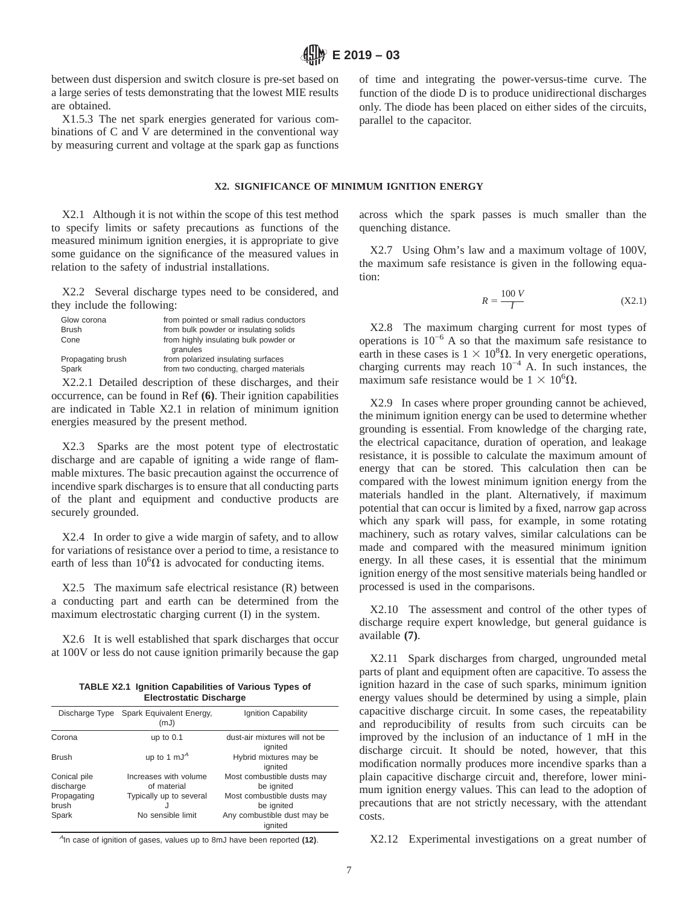between dust dispersion and switch closure is pre-set based on a large series of tests demonstrating that the lowest MIE results are obtained.

X1.5.3 The net spark energies generated for various combinations of C and V are determined in the conventional way by measuring current and voltage at the spark gap as functions of time and integrating the power-versus-time curve. The function of the diode D is to produce unidirectional discharges only. The diode has been placed on either sides of the circuits, parallel to the capacitor.

# **X2. SIGNIFICANCE OF MINIMUM IGNITION ENERGY**

X2.1 Although it is not within the scope of this test method to specify limits or safety precautions as functions of the measured minimum ignition energies, it is appropriate to give some guidance on the significance of the measured values in relation to the safety of industrial installations.

X2.2 Several discharge types need to be considered, and they include the following:

| Glow corona       | from pointed or small radius conductors           |
|-------------------|---------------------------------------------------|
| <b>Brush</b>      | from bulk powder or insulating solids             |
| Cone              | from highly insulating bulk powder or<br>granules |
| Propagating brush | from polarized insulating surfaces                |
| Spark             | from two conducting, charged materials            |

X2.2.1 Detailed description of these discharges, and their occurrence, can be found in Ref **(6)**. Their ignition capabilities are indicated in Table X2.1 in relation of minimum ignition energies measured by the present method.

X2.3 Sparks are the most potent type of electrostatic discharge and are capable of igniting a wide range of flammable mixtures. The basic precaution against the occurrence of incendive spark discharges is to ensure that all conducting parts of the plant and equipment and conductive products are securely grounded.

X2.4 In order to give a wide margin of safety, and to allow for variations of resistance over a period to time, a resistance to earth of less than  $10^6\Omega$  is advocated for conducting items.

X2.5 The maximum safe electrical resistance (R) between a conducting part and earth can be determined from the maximum electrostatic charging current (I) in the system.

X2.6 It is well established that spark discharges that occur at 100V or less do not cause ignition primarily because the gap

**TABLE X2.1 Ignition Capabilities of Various Types of Electrostatic Discharge**

|                                                   | Discharge Type Spark Equivalent Energy,<br>(mJ)                 | Ignition Capability                                                                  |
|---------------------------------------------------|-----------------------------------------------------------------|--------------------------------------------------------------------------------------|
| Corona                                            | up to $0.1$                                                     | dust-air mixtures will not be<br>ignited                                             |
| <b>Brush</b>                                      | up to 1 mJ <sup>A</sup>                                         | Hybrid mixtures may be<br>ignited                                                    |
| Conical pile<br>discharge<br>Propagating<br>brush | Increases with volume<br>of material<br>Typically up to several | Most combustible dusts may<br>be ignited<br>Most combustible dusts may<br>be ignited |
| Spark                                             | No sensible limit                                               | Any combustible dust may be<br>ignited                                               |

across which the spark passes is much smaller than the quenching distance.

X2.7 Using Ohm's law and a maximum voltage of 100V, the maximum safe resistance is given in the following equation:

$$
R = \frac{100 V}{I}
$$
 (X2.1)

X2.8 The maximum charging current for most types of operations is  $10^{-6}$  A so that the maximum safe resistance to earth in these cases is  $1 \times 10^8 \Omega$ . In very energetic operations, charging currents may reach  $10^{-4}$  A. In such instances, the maximum safe resistance would be  $1 \times 10^6 \Omega$ .

X2.9 In cases where proper grounding cannot be achieved, the minimum ignition energy can be used to determine whether grounding is essential. From knowledge of the charging rate, the electrical capacitance, duration of operation, and leakage resistance, it is possible to calculate the maximum amount of energy that can be stored. This calculation then can be compared with the lowest minimum ignition energy from the materials handled in the plant. Alternatively, if maximum potential that can occur is limited by a fixed, narrow gap across which any spark will pass, for example, in some rotating machinery, such as rotary valves, similar calculations can be made and compared with the measured minimum ignition energy. In all these cases, it is essential that the minimum ignition energy of the most sensitive materials being handled or processed is used in the comparisons.

X2.10 The assessment and control of the other types of discharge require expert knowledge, but general guidance is available **(7)**.

X2.11 Spark discharges from charged, ungrounded metal parts of plant and equipment often are capacitive. To assess the ignition hazard in the case of such sparks, minimum ignition energy values should be determined by using a simple, plain capacitive discharge circuit. In some cases, the repeatability and reproducibility of results from such circuits can be improved by the inclusion of an inductance of 1 mH in the discharge circuit. It should be noted, however, that this modification normally produces more incendive sparks than a plain capacitive discharge circuit and, therefore, lower minimum ignition energy values. This can lead to the adoption of precautions that are not strictly necessary, with the attendant costs.

<sup>A</sup>In case of ignition of gases, values up to 8mJ have been reported **(12)**.

X2.12 Experimental investigations on a great number of